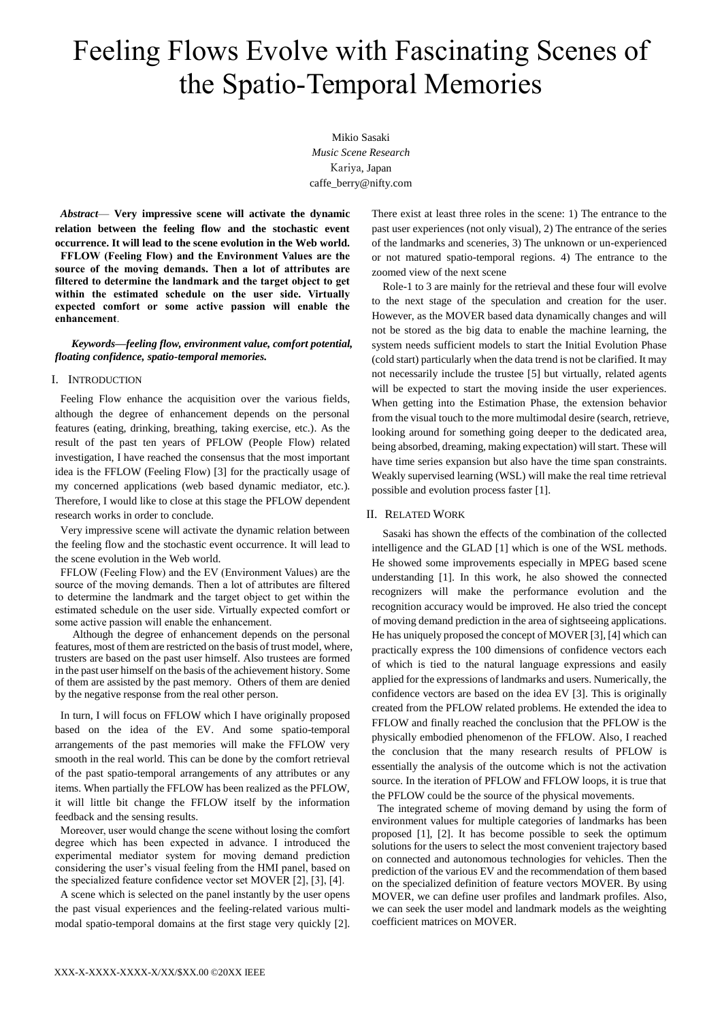# Feeling Flows Evolve with Fascinating Scenes of the Spatio-Temporal Memories

Mikio Sasaki *Music Scene Research* Kariya, Japan caffe\_berry@nifty.com

*Abstract*— **Very impressive scene will activate the dynamic relation between the feeling flow and the stochastic event occurrence. It will lead to the scene evolution in the Web world. FFLOW (Feeling Flow) and the Environment Values are the source of the moving demands. Then a lot of attributes are filtered to determine the landmark and the target object to get within the estimated schedule on the user side. Virtually expected comfort or some active passion will enable the enhancement**.

#### *Keywords—feeling flow, environment value, comfort potential, floating confidence, spatio-temporal memories.*

## I. INTRODUCTION

Feeling Flow enhance the acquisition over the various fields, although the degree of enhancement depends on the personal features (eating, drinking, breathing, taking exercise, etc.). As the result of the past ten years of PFLOW (People Flow) related investigation, I have reached the consensus that the most important idea is the FFLOW (Feeling Flow) [3] for the practically usage of my concerned applications (web based dynamic mediator, etc.). Therefore, I would like to close at this stage the PFLOW dependent research works in order to conclude.

Very impressive scene will activate the dynamic relation between the feeling flow and the stochastic event occurrence. It will lead to the scene evolution in the Web world.

FFLOW (Feeling Flow) and the EV (Environment Values) are the source of the moving demands. Then a lot of attributes are filtered to determine the landmark and the target object to get within the estimated schedule on the user side. Virtually expected comfort or some active passion will enable the enhancement.

Although the degree of enhancement depends on the personal features, most of them are restricted on the basis of trust model, where, trusters are based on the past user himself. Also trustees are formed in the past user himself on the basis of the achievement history. Some of them are assisted by the past memory. Others of them are denied by the negative response from the real other person.

In turn, I will focus on FFLOW which I have originally proposed based on the idea of the EV. And some spatio-temporal arrangements of the past memories will make the FFLOW very smooth in the real world. This can be done by the comfort retrieval of the past spatio-temporal arrangements of any attributes or any items. When partially the FFLOW has been realized as the PFLOW, it will little bit change the FFLOW itself by the information feedback and the sensing results.

Moreover, user would change the scene without losing the comfort degree which has been expected in advance. I introduced the experimental mediator system for moving demand prediction considering the user's visual feeling from the HMI panel, based on the specialized feature confidence vector set MOVER [2], [3], [4].

A scene which is selected on the panel instantly by the user opens the past visual experiences and the feeling-related various multimodal spatio-temporal domains at the first stage very quickly [2].

There exist at least three roles in the scene: 1) The entrance to the past user experiences (not only visual), 2) The entrance of the series of the landmarks and sceneries, 3) The unknown or un-experienced or not matured spatio-temporal regions. 4) The entrance to the zoomed view of the next scene

Role-1 to 3 are mainly for the retrieval and these four will evolve to the next stage of the speculation and creation for the user. However, as the MOVER based data dynamically changes and will not be stored as the big data to enable the machine learning, the system needs sufficient models to start the Initial Evolution Phase (cold start) particularly when the data trend is not be clarified. It may not necessarily include the trustee [5] but virtually, related agents will be expected to start the moving inside the user experiences. When getting into the Estimation Phase, the extension behavior from the visual touch to the more multimodal desire (search, retrieve, looking around for something going deeper to the dedicated area, being absorbed, dreaming, making expectation) will start. These will have time series expansion but also have the time span constraints. Weakly supervised learning (WSL) will make the real time retrieval possible and evolution process faster [1].

### II. RELATED WORK

Sasaki has shown the effects of the combination of the collected intelligence and the GLAD [1] which is one of the WSL methods. He showed some improvements especially in MPEG based scene understanding [1]. In this work, he also showed the connected recognizers will make the performance evolution and the recognition accuracy would be improved. He also tried the concept of moving demand prediction in the area of sightseeing applications. He has uniquely proposed the concept of MOVER [3], [4] which can practically express the 100 dimensions of confidence vectors each of which is tied to the natural language expressions and easily applied for the expressions of landmarks and users. Numerically, the confidence vectors are based on the idea EV [3]. This is originally created from the PFLOW related problems. He extended the idea to FFLOW and finally reached the conclusion that the PFLOW is the physically embodied phenomenon of the FFLOW. Also, I reached the conclusion that the many research results of PFLOW is essentially the analysis of the outcome which is not the activation source. In the iteration of PFLOW and FFLOW loops, it is true that the PFLOW could be the source of the physical movements.

The integrated scheme of moving demand by using the form of environment values for multiple categories of landmarks has been proposed [1], [2]. It has become possible to seek the optimum solutions for the users to select the most convenient trajectory based on connected and autonomous technologies for vehicles. Then the prediction of the various EV and the recommendation of them based on the specialized definition of feature vectors MOVER. By using MOVER, we can define user profiles and landmark profiles. Also, we can seek the user model and landmark models as the weighting coefficient matrices on MOVER.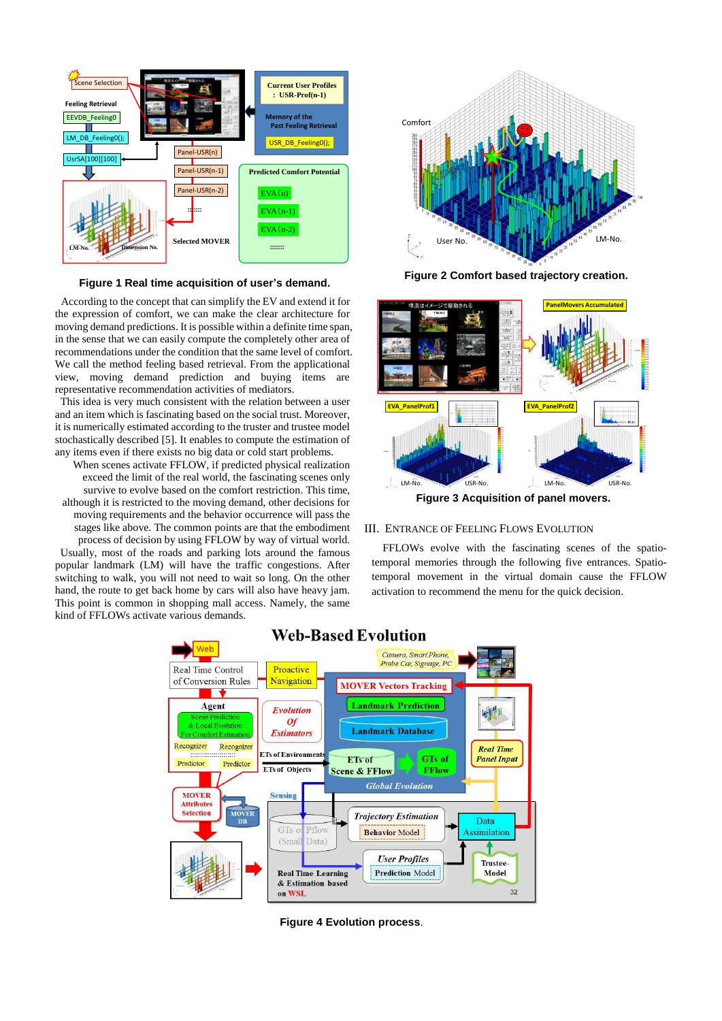

**Figure 1 Real time acquisition of user's demand.**

According to the concept that can simplify the EV and extend it for the expression of comfort, we can make the clear architecture for moving demand predictions. It is possible within a definite time span, in the sense that we can easily compute the completely other area of recommendations under the condition that the same level of comfort. We call the method feeling based retrieval. From the applicational view, moving demand prediction and buying items are representative recommendation activities of mediators.

This idea is very much consistent with the relation between a user and an item which is fascinating based on the social trust. Moreover, it is numerically estimated according to the truster and trustee model stochastically described [5]. It enables to compute the estimation of any items even if there exists no big data or cold start problems.

When scenes activate FFLOW, if predicted physical realization exceed the limit of the real world, the fascinating scenes only survive to evolve based on the comfort restriction. This time, although it is restricted to the moving demand, other decisions for moving requirements and the behavior occurrence will pass the stages like above. The common points are that the embodiment process of decision by using FFLOW by way of virtual world. Usually, most of the roads and parking lots around the famous popular landmark (LM) will have the traffic congestions. After

switching to walk, you will not need to wait so long. On the other hand, the route to get back home by cars will also have heavy jam. This point is common in shopping mall access. Namely, the same kind of FFLOWs activate various demands.



**Figure 2 Comfort based trajectory creation.**



**Figure 3 Acquisition of panel movers.**

## III. ENTRANCE OF FEELING FLOWS EVOLUTION

FFLOWs evolve with the fascinating scenes of the spatiotemporal memories through the following five entrances. Spatiotemporal movement in the virtual domain cause the FFLOW activation to recommend the menu for the quick decision.



**Web-Based Evolution** 

**Figure 4 Evolution process**.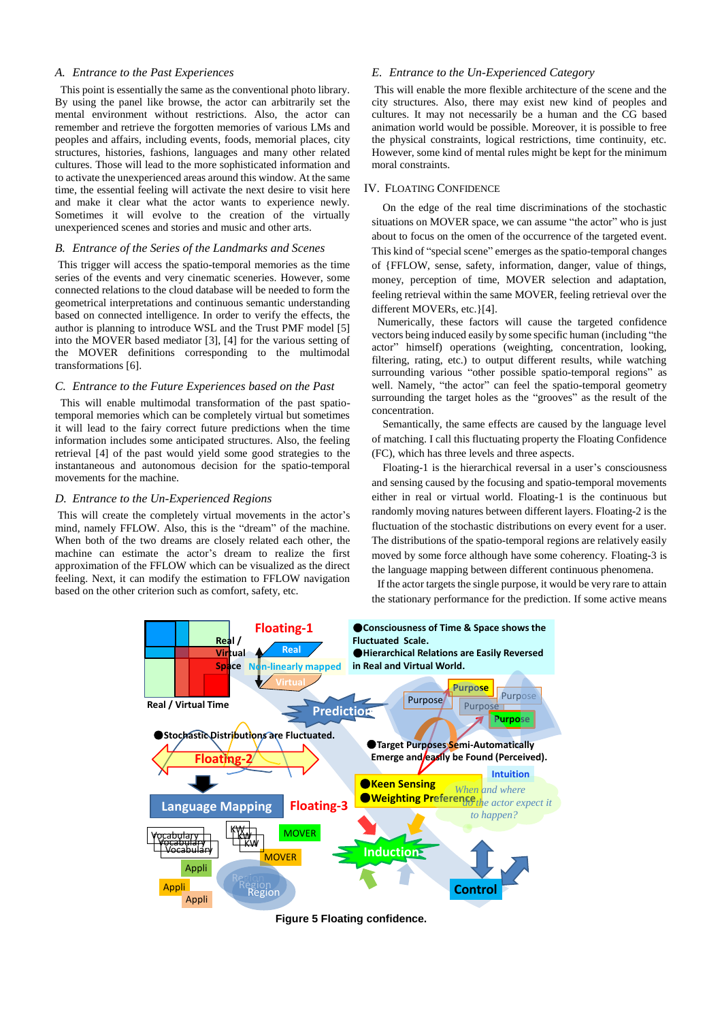#### *A. Entrance to the Past Experiences*

This point is essentially the same as the conventional photo library. By using the panel like browse, the actor can arbitrarily set the mental environment without restrictions. Also, the actor can remember and retrieve the forgotten memories of various LMs and peoples and affairs, including events, foods, memorial places, city structures, histories, fashions, languages and many other related cultures. Those will lead to the more sophisticated information and to activate the unexperienced areas around this window. At the same time, the essential feeling will activate the next desire to visit here and make it clear what the actor wants to experience newly. Sometimes it will evolve to the creation of the virtually unexperienced scenes and stories and music and other arts.

## *B. Entrance of the Series of the Landmarks and Scenes*

This trigger will access the spatio-temporal memories as the time series of the events and very cinematic sceneries. However, some connected relations to the cloud database will be needed to form the geometrical interpretations and continuous semantic understanding based on connected intelligence. In order to verify the effects, the author is planning to introduce WSL and the Trust PMF model [5] into the MOVER based mediator [3], [4] for the various setting of the MOVER definitions corresponding to the multimodal transformations [6].

#### *C. Entrance to the Future Experiences based on the Past*

This will enable multimodal transformation of the past spatiotemporal memories which can be completely virtual but sometimes it will lead to the fairy correct future predictions when the time information includes some anticipated structures. Also, the feeling retrieval [4] of the past would yield some good strategies to the instantaneous and autonomous decision for the spatio-temporal movements for the machine.

#### *D. Entrance to the Un-Experienced Regions*

This will create the completely virtual movements in the actor's mind, namely FFLOW. Also, this is the "dream" of the machine. When both of the two dreams are closely related each other, the machine can estimate the actor's dream to realize the first approximation of the FFLOW which can be visualized as the direct feeling. Next, it can modify the estimation to FFLOW navigation based on the other criterion such as comfort, safety, etc.

## *E. Entrance to the Un-Experienced Category*

This will enable the more flexible architecture of the scene and the city structures. Also, there may exist new kind of peoples and cultures. It may not necessarily be a human and the CG based animation world would be possible. Moreover, it is possible to free the physical constraints, logical restrictions, time continuity, etc. However, some kind of mental rules might be kept for the minimum moral constraints.

## IV. FLOATING CONFIDENCE

On the edge of the real time discriminations of the stochastic situations on MOVER space, we can assume "the actor" who is just about to focus on the omen of the occurrence of the targeted event. This kind of "special scene" emerges as the spatio-temporal changes of {FFLOW, sense, safety, information, danger, value of things, money, perception of time, MOVER selection and adaptation, feeling retrieval within the same MOVER, feeling retrieval over the different MOVERs, etc.}[4].

Numerically, these factors will cause the targeted confidence vectors being induced easily by some specific human (including "the actor" himself) operations (weighting, concentration, looking, filtering, rating, etc.) to output different results, while watching surrounding various "other possible spatio-temporal regions" as well. Namely, "the actor" can feel the spatio-temporal geometry surrounding the target holes as the "grooves" as the result of the concentration.

Semantically, the same effects are caused by the language level of matching. I call this fluctuating property the Floating Confidence (FC), which has three levels and three aspects.

Floating-1 is the hierarchical reversal in a user's consciousness and sensing caused by the focusing and spatio-temporal movements either in real or virtual world. Floating-1 is the continuous but randomly moving natures between different layers. Floating-2 is the fluctuation of the stochastic distributions on every event for a user. The distributions of the spatio-temporal regions are relatively easily moved by some force although have some coherency. Floating-3 is the language mapping between different continuous phenomena.

If the actor targets the single purpose, it would be very rare to attain the stationary performance for the prediction. If some active means



**Figure 5 Floating confidence.**